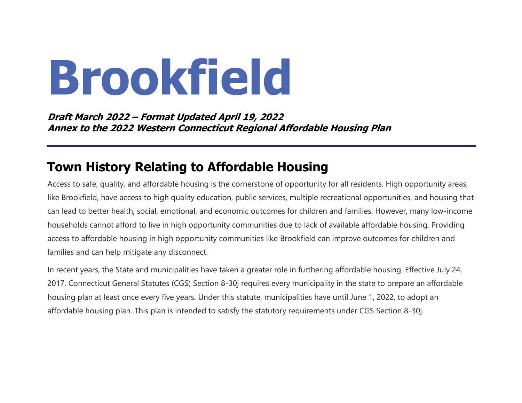# **Brookfield**

**Draft March 2022 – Format Updated April 19, 2022 Annex to the 2022 Western Connecticut Regional Affordable Housing Plan**

# **Town History Relating to Affordable Housing**

Access to safe, quality, and affordable housing is the cornerstone of opportunity for all residents. High opportunity areas, like Brookfield, have access to high quality education, public services, multiple recreational opportunities, and housing that can lead to better health, social, emotional, and economic outcomes for children and families. However, many low-income households cannot afford to live in high opportunity communities due to lack of available affordable housing. Providing access to affordable housing in high opportunity communities like Brookfield can improve outcomes for children and families and can help mitigate any disconnect.

In recent years, the State and municipalities have taken a greater role in furthering affordable housing. Effective July 24, 2017, Connecticut General Statutes (CGS) Section 8-30j requires every municipality in the state to prepare an affordable housing plan at least once every five years. Under this statute, municipalities have until June 1, 2022, to adopt an affordable housing plan. This plan is intended to satisfy the statutory requirements under CGS Section 8-30j.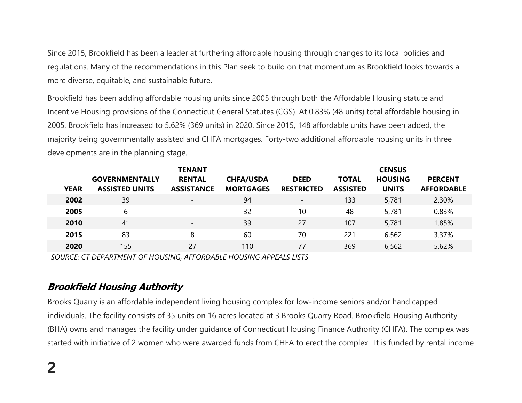Since 2015, Brookfield has been a leader at furthering affordable housing through changes to its local policies and regulations. Many of the recommendations in this Plan seek to build on that momentum as Brookfield looks towards a more diverse, equitable, and sustainable future.

Brookfield has been adding affordable housing units since 2005 through both the Affordable Housing statute and Incentive Housing provisions of the Connecticut General Statutes (CGS). At 0.83% (48 units) total affordable housing in 2005, Brookfield has increased to 5.62% (369 units) in 2020. Since 2015, 148 affordable units have been added, the majority being governmentally assisted and CHFA mortgages. Forty-two additional affordable housing units in three developments are in the planning stage.

|             | <b>TENANT</b>         |                          |                  |                          |                 | <b>CENSUS</b>  |                   |  |  |
|-------------|-----------------------|--------------------------|------------------|--------------------------|-----------------|----------------|-------------------|--|--|
|             | <b>GOVERNMENTALLY</b> | <b>RENTAL</b>            | <b>CHFA/USDA</b> | <b>DEED</b>              | <b>TOTAL</b>    | <b>HOUSING</b> | <b>PERCENT</b>    |  |  |
| <b>YEAR</b> | <b>ASSISTED UNITS</b> | <b>ASSISTANCE</b>        | <b>MORTGAGES</b> | <b>RESTRICTED</b>        | <b>ASSISTED</b> | <b>UNITS</b>   | <b>AFFORDABLE</b> |  |  |
| 2002        | 39                    | $\qquad \qquad -$        | 94               | $\overline{\phantom{a}}$ | 133             | 5,781          | 2.30%             |  |  |
| 2005        | 6                     | $\overline{a}$           | 32               | 10                       | 48              | 5,781          | 0.83%             |  |  |
| 2010        | 41                    | $\overline{\phantom{0}}$ | 39               | 27                       | 107             | 5,781          | 1.85%             |  |  |
| 2015        | 83                    | 8                        | 60               | 70                       | 221             | 6,562          | 3.37%             |  |  |
| 2020        | 155                   | 27                       | 110              | 77                       | 369             | 6,562          | 5.62%             |  |  |

*SOURCE: CT DEPARTMENT OF HOUSING, AFFORDABLE HOUSING APPEALS LISTS*

#### **Brookfield Housing Authority**

Brooks Quarry is an affordable independent living housing complex for low-income seniors and/or handicapped individuals. The facility consists of 35 units on 16 acres located at 3 Brooks Quarry Road. Brookfield Housing Authority (BHA) owns and manages the facility under guidance of Connecticut Housing Finance Authority (CHFA). The complex was started with initiative of 2 women who were awarded funds from CHFA to erect the complex. It is funded by rental income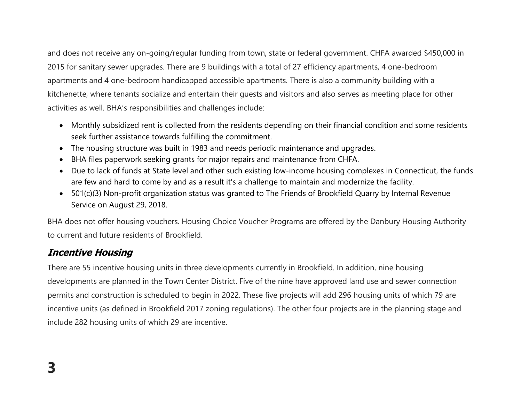and does not receive any on-going/regular funding from town, state or federal government. CHFA awarded \$450,000 in 2015 for sanitary sewer upgrades. There are 9 buildings with a total of 27 efficiency apartments, 4 one-bedroom apartments and 4 one-bedroom handicapped accessible apartments. There is also a community building with a kitchenette, where tenants socialize and entertain their guests and visitors and also serves as meeting place for other activities as well. BHA's responsibilities and challenges include:

- Monthly subsidized rent is collected from the residents depending on their financial condition and some residents seek further assistance towards fulfilling the commitment.
- The housing structure was built in 1983 and needs periodic maintenance and upgrades.
- BHA files paperwork seeking grants for major repairs and maintenance from CHFA.
- Due to lack of funds at State level and other such existing low-income housing complexes in Connecticut, the funds are few and hard to come by and as a result it's a challenge to maintain and modernize the facility.
- 501(c)(3) Non-profit organization status was granted to The Friends of Brookfield Quarry by Internal Revenue Service on August 29, 2018.

BHA does not offer housing vouchers. Housing Choice Voucher Programs are offered by the Danbury Housing Authority to current and future residents of Brookfield.

### **Incentive Housing**

There are 55 incentive housing units in three developments currently in Brookfield. In addition, nine housing developments are planned in the Town Center District. Five of the nine have approved land use and sewer connection permits and construction is scheduled to begin in 2022. These five projects will add 296 housing units of which 79 are incentive units (as defined in Brookfield 2017 zoning regulations). The other four projects are in the planning stage and include 282 housing units of which 29 are incentive.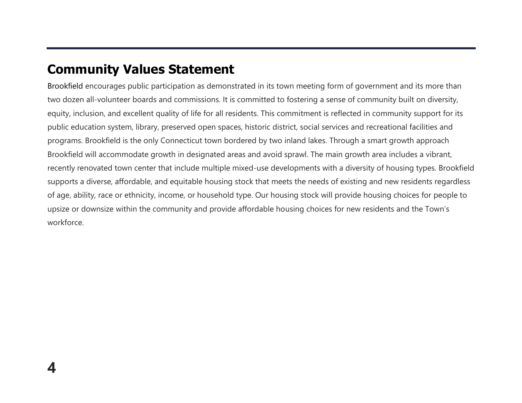# **Community Values Statement**

Brookfield encourages public participation as demonstrated in its town meeting form of government and its more than two dozen all-volunteer boards and commissions. It is committed to fostering a sense of community built on diversity, equity, inclusion, and excellent quality of life for all residents. This commitment is reflected in community support for its public education system, library, preserved open spaces, historic district, social services and recreational facilities and programs. Brookfield is the only Connecticut town bordered by two inland lakes. Through a smart growth approach Brookfield will accommodate growth in designated areas and avoid sprawl. The main growth area includes a vibrant, recently renovated town center that include multiple mixed-use developments with a diversity of housing types. Brookfield supports a diverse, affordable, and equitable housing stock that meets the needs of existing and new residents regardless of age, ability, race or ethnicity, income, or household type. Our housing stock will provide housing choices for people to upsize or downsize within the community and provide affordable housing choices for new residents and the Town's workforce.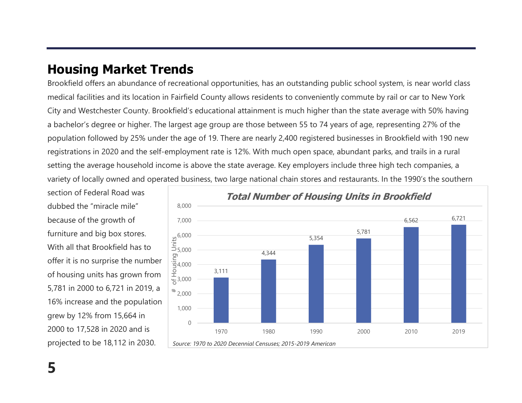# **Housing Market Trends**

Brookfield offers an abundance of recreational opportunities, has an outstanding public school system, is near world class medical facilities and its location in Fairfield County allows residents to conveniently commute by rail or car to New York City and Westchester County. Brookfield's educational attainment is much higher than the state average with 50% having a bachelor's degree or higher. The largest age group are those between 55 to 74 years of age, representing 27% of the population followed by 25% under the age of 19. There are nearly 2,400 registered businesses in Brookfield with 190 new registrations in 2020 and the self-employment rate is 12%. With much open space, abundant parks, and trails in a rural setting the average household income is above the state average. Key employers include three high tech companies, a variety of locally owned and operated business, two large national chain stores and restaurants. In the 1990's the southern

section of Federal Road was dubbed the "miracle mile" because of the growth of furniture and big box stores. With all that Brookfield has to offer it is no surprise the number of housing units has grown from 5,781 in 2000 to 6,721 in 2019, a 16% increase and the population grew by 12% from 15,664 in 2000 to 17,528 in 2020 and is projected to be 18,112 in 2030.

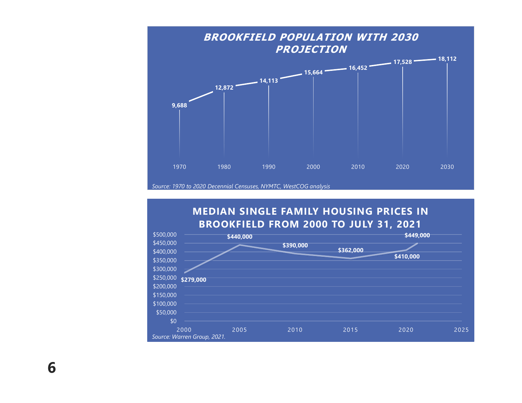

#### **MEDIAN SINGLE FAMILY HOUSING PRICES IN BROOKFIELD FROM 2000 TO JULY 31, 2021**



**6**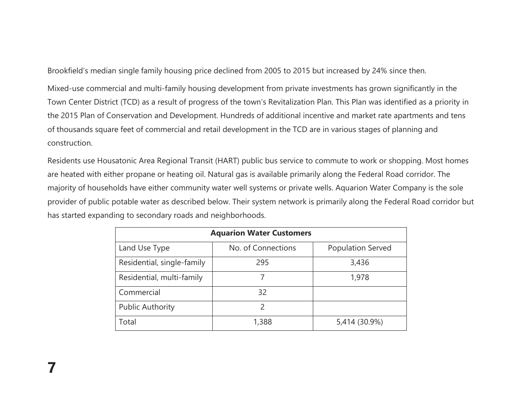Brookfield's median single family housing price declined from 2005 to 2015 but increased by 24% since then.

Mixed-use commercial and multi-family housing development from private investments has grown significantly in the Town Center District (TCD) as a result of progress of the town's Revitalization Plan. This Plan was identified as a priority in the 2015 Plan of Conservation and Development. Hundreds of additional incentive and market rate apartments and tens of thousands square feet of commercial and retail development in the TCD are in various stages of planning and construction.

Residents use Housatonic Area Regional Transit (HART) public bus service to commute to work or shopping. Most homes are heated with either propane or heating oil. Natural gas is available primarily along the Federal Road corridor. The majority of households have either community water well systems or private wells. Aquarion Water Company is the sole provider of public potable water as described below. Their system network is primarily along the Federal Road corridor but has started expanding to secondary roads and neighborhoods.

| <b>Aquarion Water Customers</b> |                    |                          |  |  |  |  |  |  |
|---------------------------------|--------------------|--------------------------|--|--|--|--|--|--|
| Land Use Type                   | No. of Connections | <b>Population Served</b> |  |  |  |  |  |  |
| Residential, single-family      | 295                | 3,436                    |  |  |  |  |  |  |
| Residential, multi-family       |                    | 1,978                    |  |  |  |  |  |  |
| Commercial                      | 32                 |                          |  |  |  |  |  |  |
| <b>Public Authority</b>         | $\mathcal{P}$      |                          |  |  |  |  |  |  |
| Total                           | 1,388              | 5,414 (30.9%)            |  |  |  |  |  |  |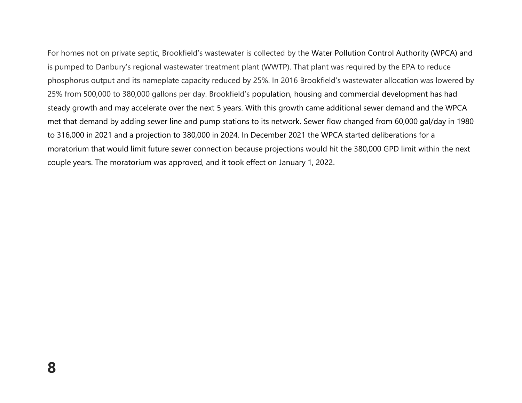For homes not on private septic, Brookfield's wastewater is collected by the Water Pollution Control Authority (WPCA) and is pumped to Danbury's regional wastewater treatment plant (WWTP). That plant was required by the EPA to reduce phosphorus output and its nameplate capacity reduced by 25%. In 2016 Brookfield's wastewater allocation was lowered by 25% from 500,000 to 380,000 gallons per day. Brookfield's population, housing and commercial development has had steady growth and may accelerate over the next 5 years. With this growth came additional sewer demand and the WPCA met that demand by adding sewer line and pump stations to its network. Sewer flow changed from 60,000 gal/day in 1980 to 316,000 in 2021 and a projection to 380,000 in 2024. In December 2021 the WPCA started deliberations for a moratorium that would limit future sewer connection because projections would hit the 380,000 GPD limit within the next couple years. The moratorium was approved, and it took effect on January 1, 2022.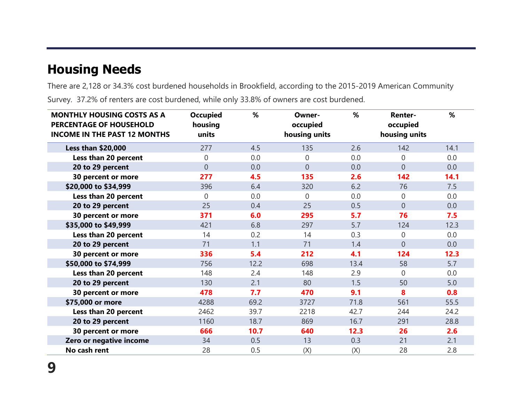# **Housing Needs**

There are 2,128 or 34.3% cost burdened households in Brookfield, according to the 2015-2019 American Community Survey. 37.2% of renters are cost burdened, while only 33.8% of owners are cost burdened.

| <b>MONTHLY HOUSING COSTS AS A</b><br><b>PERCENTAGE OF HOUSEHOLD</b><br><b>INCOME IN THE PAST 12 MONTHS</b> | <b>Occupied</b><br>housing<br>units | %    | Owner-<br>occupied<br>housing units | %    | <b>Renter-</b><br>occupied<br>housing units | %    |
|------------------------------------------------------------------------------------------------------------|-------------------------------------|------|-------------------------------------|------|---------------------------------------------|------|
| <b>Less than \$20,000</b>                                                                                  | 277                                 | 4.5  | 135                                 | 2.6  | 142                                         | 14.1 |
| Less than 20 percent                                                                                       | $\overline{0}$                      | 0.0  | $\Omega$                            | 0.0  | 0                                           | 0.0  |
| 20 to 29 percent                                                                                           | $\overline{0}$                      | 0.0  | $\overline{0}$                      | 0.0  | $\overline{0}$                              | 0.0  |
| 30 percent or more                                                                                         | 277                                 | 4.5  | 135                                 | 2.6  | 142                                         | 14.1 |
| \$20,000 to \$34,999                                                                                       | 396                                 | 6.4  | 320                                 | 6.2  | 76                                          | 7.5  |
| Less than 20 percent                                                                                       | $\Omega$                            | 0.0  | $\Omega$                            | 0.0  | 0                                           | 0.0  |
| 20 to 29 percent                                                                                           | 25                                  | 0.4  | 25                                  | 0.5  | $\mathbf 0$                                 | 0.0  |
| 30 percent or more                                                                                         | 371                                 | 6.0  | 295                                 | 5.7  | 76                                          | 7.5  |
| \$35,000 to \$49,999                                                                                       | 421                                 | 6.8  | 297                                 | 5.7  | 124                                         | 12.3 |
| Less than 20 percent                                                                                       | 14                                  | 0.2  | 14                                  | 0.3  | 0                                           | 0.0  |
| 20 to 29 percent                                                                                           | 71                                  | 1.1  | 71                                  | 1.4  | $\overline{0}$                              | 0.0  |
| 30 percent or more                                                                                         | 336                                 | 5.4  | 212                                 | 4.1  | 124                                         | 12.3 |
| \$50,000 to \$74,999                                                                                       | 756                                 | 12.2 | 698                                 | 13.4 | 58                                          | 5.7  |
| Less than 20 percent                                                                                       | 148                                 | 2.4  | 148                                 | 2.9  | $\overline{0}$                              | 0.0  |
| 20 to 29 percent                                                                                           | 130                                 | 2.1  | 80                                  | 1.5  | 50                                          | 5.0  |
| 30 percent or more                                                                                         | 478                                 | 7.7  | 470                                 | 9.1  | 8                                           | 0.8  |
| \$75,000 or more                                                                                           | 4288                                | 69.2 | 3727                                | 71.8 | 561                                         | 55.5 |
| Less than 20 percent                                                                                       | 2462                                | 39.7 | 2218                                | 42.7 | 244                                         | 24.2 |
| 20 to 29 percent                                                                                           | 1160                                | 18.7 | 869                                 | 16.7 | 291                                         | 28.8 |
| 30 percent or more                                                                                         | 666                                 | 10.7 | 640                                 | 12.3 | 26                                          | 2.6  |
| Zero or negative income                                                                                    | 34                                  | 0.5  | 13                                  | 0.3  | 21                                          | 2.1  |
| No cash rent                                                                                               | 28                                  | 0.5  | (X)                                 | (X)  | 28                                          | 2.8  |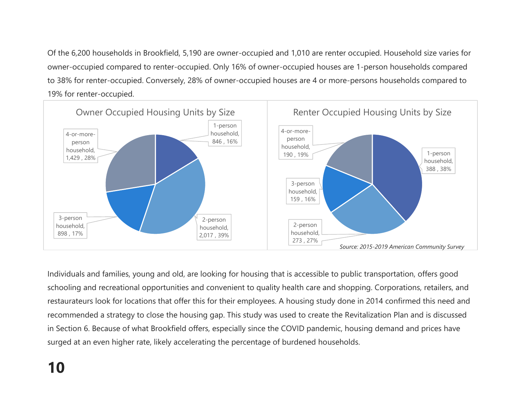Of the 6,200 households in Brookfield, 5,190 are owner-occupied and 1,010 are renter occupied. Household size varies for owner-occupied compared to renter-occupied. Only 16% of owner-occupied houses are 1-person households compared to 38% for renter-occupied. Conversely, 28% of owner-occupied houses are 4 or more-persons households compared to 19% for renter-occupied.



Individuals and families, young and old, are looking for housing that is accessible to public transportation, offers good schooling and recreational opportunities and convenient to quality health care and shopping. Corporations, retailers, and restaurateurs look for locations that offer this for their employees. A housing study done in 2014 confirmed this need and recommended a strategy to close the housing gap. This study was used to create the Revitalization Plan and is discussed in Section 6. Because of what Brookfield offers, especially since the COVID pandemic, housing demand and prices have surged at an even higher rate, likely accelerating the percentage of burdened households.

# **10**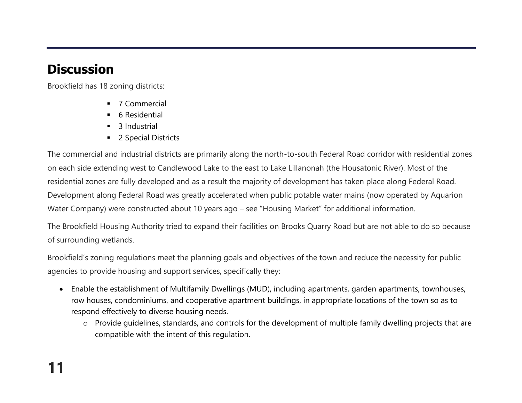# **Discussion**

Brookfield has 18 zoning districts:

- 7 Commercial
- 6 Residential
- 3 Industrial
- 2 Special Districts

The commercial and industrial districts are primarily along the north-to-south Federal Road corridor with residential zones on each side extending west to Candlewood Lake to the east to Lake Lillanonah (the Housatonic River). Most of the residential zones are fully developed and as a result the majority of development has taken place along Federal Road. Development along Federal Road was greatly accelerated when public potable water mains (now operated by Aquarion Water Company) were constructed about 10 years ago – see "Housing Market" for additional information.

The Brookfield Housing Authority tried to expand their facilities on Brooks Quarry Road but are not able to do so because of surrounding wetlands.

Brookfield's zoning regulations meet the planning goals and objectives of the town and reduce the necessity for public agencies to provide housing and support services, specifically they:

- Enable the establishment of Multifamily Dwellings (MUD), including apartments, garden apartments, townhouses, row houses, condominiums, and cooperative apartment buildings, in appropriate locations of the town so as to respond effectively to diverse housing needs.
	- o Provide guidelines, standards, and controls for the development of multiple family dwelling projects that are compatible with the intent of this regulation.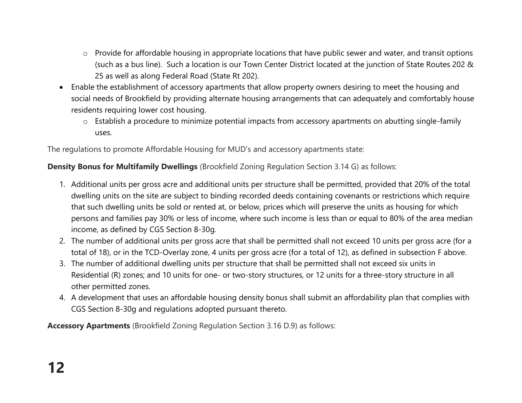- o Provide for affordable housing in appropriate locations that have public sewer and water, and transit options (such as a bus line). Such a location is our Town Center District located at the junction of State Routes 202 & 25 as well as along Federal Road (State Rt 202).
- Enable the establishment of accessory apartments that allow property owners desiring to meet the housing and social needs of Brookfield by providing alternate housing arrangements that can adequately and comfortably house residents requiring lower cost housing.
	- o Establish a procedure to minimize potential impacts from accessory apartments on abutting single-family uses.

The regulations to promote Affordable Housing for MUD's and accessory apartments state:

#### **Density Bonus for Multifamily Dwellings** (Brookfield Zoning Regulation Section 3.14 G) as follows:

- 1. Additional units per gross acre and additional units per structure shall be permitted, provided that 20% of the total dwelling units on the site are subject to binding recorded deeds containing covenants or restrictions which require that such dwelling units be sold or rented at, or below, prices which will preserve the units as housing for which persons and families pay 30% or less of income, where such income is less than or equal to 80% of the area median income, as defined by CGS Section 8-30g.
- 2. The number of additional units per gross acre that shall be permitted shall not exceed 10 units per gross acre (for a total of 18), or in the TCD-Overlay zone, 4 units per gross acre (for a total of 12), as defined in subsection F above.
- 3. The number of additional dwelling units per structure that shall be permitted shall not exceed six units in Residential (R) zones; and 10 units for one- or two-story structures, or 12 units for a three-story structure in all other permitted zones.
- 4. A development that uses an affordable housing density bonus shall submit an affordability plan that complies with CGS Section 8-30g and regulations adopted pursuant thereto.

**Accessory Apartments** (Brookfield Zoning Regulation Section 3.16 D.9) as follows: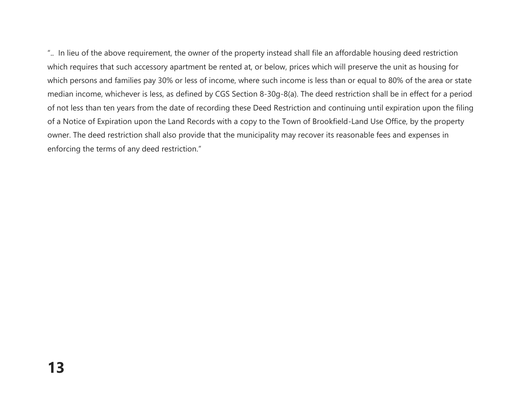".. In lieu of the above requirement, the owner of the property instead shall file an affordable housing deed restriction which requires that such accessory apartment be rented at, or below, prices which will preserve the unit as housing for which persons and families pay 30% or less of income, where such income is less than or equal to 80% of the area or state median income, whichever is less, as defined by CGS Section 8-30g-8(a). The deed restriction shall be in effect for a period of not less than ten years from the date of recording these Deed Restriction and continuing until expiration upon the filing of a Notice of Expiration upon the Land Records with a copy to the Town of Brookfield-Land Use Office, by the property owner. The deed restriction shall also provide that the municipality may recover its reasonable fees and expenses in enforcing the terms of any deed restriction."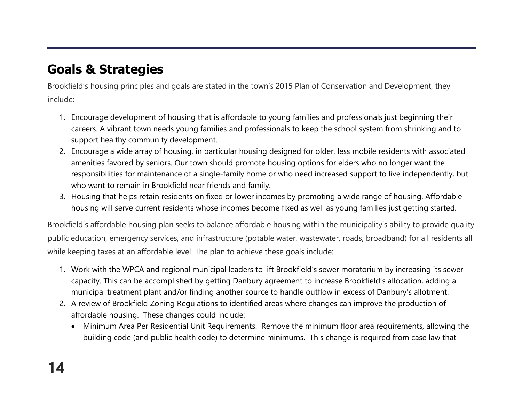# **Goals & Strategies**

Brookfield's housing principles and goals are stated in the town's 2015 Plan of Conservation and Development, they include:

- 1. Encourage development of housing that is affordable to young families and professionals just beginning their careers. A vibrant town needs young families and professionals to keep the school system from shrinking and to support healthy community development.
- 2. Encourage a wide array of housing, in particular housing designed for older, less mobile residents with associated amenities favored by seniors. Our town should promote housing options for elders who no longer want the responsibilities for maintenance of a single-family home or who need increased support to live independently, but who want to remain in Brookfield near friends and family.
- 3. Housing that helps retain residents on fixed or lower incomes by promoting a wide range of housing. Affordable housing will serve current residents whose incomes become fixed as well as young families just getting started.

Brookfield's affordable housing plan seeks to balance affordable housing within the municipality's ability to provide quality public education, emergency services, and infrastructure (potable water, wastewater, roads, broadband) for all residents all while keeping taxes at an affordable level. The plan to achieve these goals include:

- 1. Work with the WPCA and regional municipal leaders to lift Brookfield's sewer moratorium by increasing its sewer capacity. This can be accomplished by getting Danbury agreement to increase Brookfield's allocation, adding a municipal treatment plant and/or finding another source to handle outflow in excess of Danbury's allotment.
- 2. A review of Brookfield Zoning Regulations to identified areas where changes can improve the production of affordable housing. These changes could include:
	- Minimum Area Per Residential Unit Requirements: Remove the minimum floor area requirements, allowing the building code (and public health code) to determine minimums. This change is required from case law that